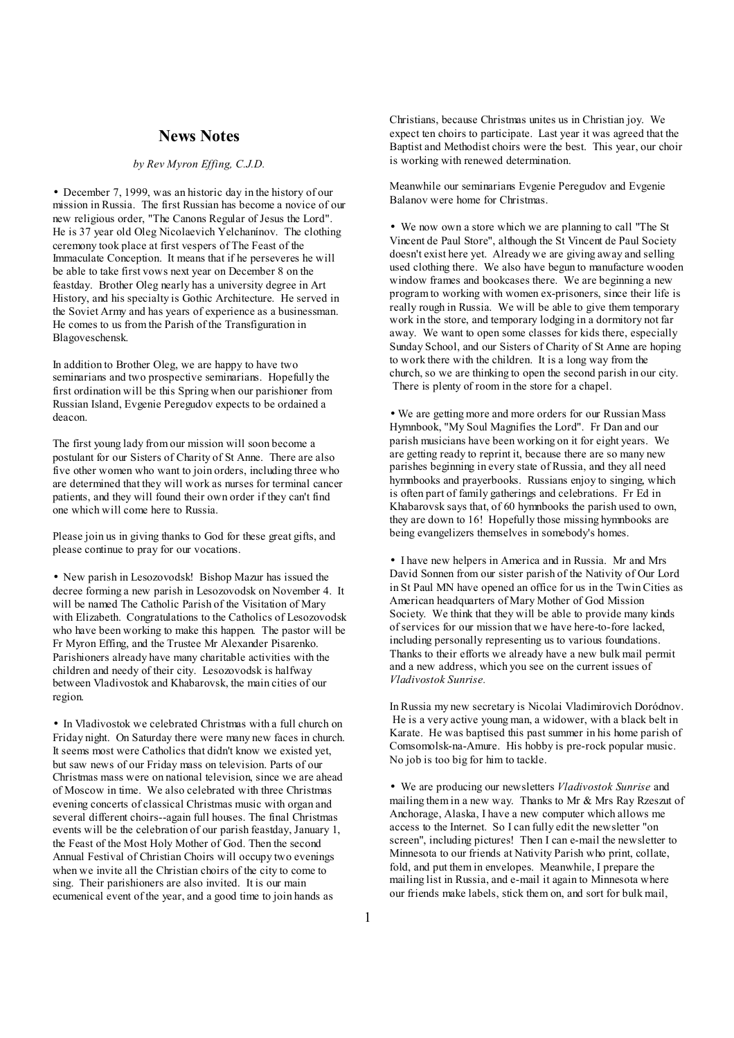### **News Notes**

#### *by Rev Myron Effing, C.J.D.*

• December 7, 1999, was an historic day in the history of our mission in Russia. The first Russian has become a novice of our new religious order, "The Canons Regular of Jesus the Lord". He is 37 year old Oleg Nicolaevich Yelchanínov. The clothing ceremony took place at first vespers of The Feast of the Immaculate Conception. It means that if he perseveres he will be able to take first vows next year on December 8 on the feastday. Brother Oleg nearly has a university degree in Art History, and his specialty is Gothic Architecture. He served in the Soviet Army and has years of experience as a businessman. He comes to us from the Parish of the Transfiguration in Blagoveschensk.

In addition to Brother Oleg, we are happy to have two seminarians and two prospective seminarians. Hopefully the first ordination will be this Spring when our parishioner from Russian Island, Evgenie Peregudov expects to be ordained a deacon.

The first young lady from our mission will soon become a postulant for our Sisters of Charity of St Anne. There are also five other women who want to join orders, including three who are determined that they will work as nurses for terminal cancer patients, and they will found their own order if they can't find one which will come here to Russia.

Please join us in giving thanks to God for these great gifts, and please continue to pray for our vocations.

• New parish in Lesozovodsk! Bishop Mazur has issued the decree forming a new parish in Lesozovodsk on November 4. It will be named The Catholic Parish of the Visitation of Mary with Elizabeth. Congratulations to the Catholics of Lesozovodsk who have been working to make this happen. The pastor will be Fr Myron Effing, and the Trustee Mr Alexander Pisarenko. Parishioners already have many charitable activities with the children and needy of their city. Lesozovodsk is halfway between Vladivostok and Khabarovsk, the main cities of our region.

• In Vladivostok we celebrated Christmas with a full church on Friday night. On Saturday there were many new faces in church. It seems most were Catholics that didn't know we existed yet, but saw news of our Friday mass on television. Parts of our Christmas mass were on national television, since we are ahead of Moscow in time. We also celebrated with three Christmas evening concerts of classical Christmas music with organ and several different choirs--again full houses. The final Christmas events will be the celebration of our parish feastday, January 1, the Feast of the Most Holy Mother of God. Then the second Annual Festival of Christian Choirs will occupy two evenings when we invite all the Christian choirs of the city to come to sing. Their parishioners are also invited. It is our main ecumenical event of the year, and a good time to join hands as

Christians, because Christmas unites us in Christian joy. We expect ten choirs to participate. Last year it was agreed that the Baptist and Methodist choirs were the best. This year, our choir is working with renewed determination.

Meanwhile our seminarians Evgenie Peregudov and Evgenie Balanov were home for Christmas.

• We now own a store which we are planning to call "The St Vincent de Paul Store", although the St Vincent de Paul Society doesn't exist here yet. Already we are giving away and selling used clothing there. We also have begun to manufacture wooden window frames and bookcases there. We are beginning a new program to working with women ex-prisoners, since their life is really rough in Russia. We will be able to give them temporary work in the store, and temporary lodging in a dormitory not far away. We want to open some classes for kids there, especially Sunday School, and our Sisters of Charity of St Anne are hoping to work there with the children. It is a long way from the church, so we are thinking to open the second parish in our city. There is plenty of room in the store for a chapel.

• We are getting more and more orders for our Russian Mass Hymnbook, "My Soul Magnifies the Lord". Fr Dan and our parish musicians have been working on it for eight years. We are getting ready to reprint it, because there are so many new parishes beginning in every state of Russia, and they all need hymnbooks and prayerbooks. Russians enjoy to singing, which is often part of family gatherings and celebrations. Fr Ed in Khabarovsk says that, of 60 hymnbooks the parish used to own, they are down to 16! Hopefully those missing hymnbooks are being evangelizers themselves in somebody's homes.

• I have new helpers in America and in Russia. Mr and Mrs David Sonnen from our sister parish of the Nativity of Our Lord in St Paul MN have opened an office for us in the Twin Cities as American headquarters of Mary Mother of God Mission Society. We think that they will be able to provide many kinds ofservices for our mission that we have here-to-fore lacked, including personally representing us to various foundations. Thanks to their efforts we already have a new bulk mail permit and a new address, which you see on the current issues of *Vladivostok Sunrise.* 

In Russia my new secretary is Nicolai Vladimirovich Doródnov. He is a very active young man, a widower, with a black belt in Karate. He was baptised this past summer in his home parish of Comsomolsk-na-Amure. His hobby is pre-rock popular music. No job is too big for him to tackle.

• We are producing our newsletters *Vladivostok Sunrise* and mailing them in a new way. Thanks to Mr & Mrs Ray Rzeszut of Anchorage, Alaska, I have a new computer which allows me access to the Internet. So I can fully edit the newsletter "on screen", including pictures! Then I can e-mail the newsletter to Minnesota to our friends at Nativity Parish who print, collate, fold, and put them in envelopes. Meanwhile, I prepare the mailing list in Russia, and e-mail it again to Minnesota where our friends make labels, stick them on, and sort for bulk mail,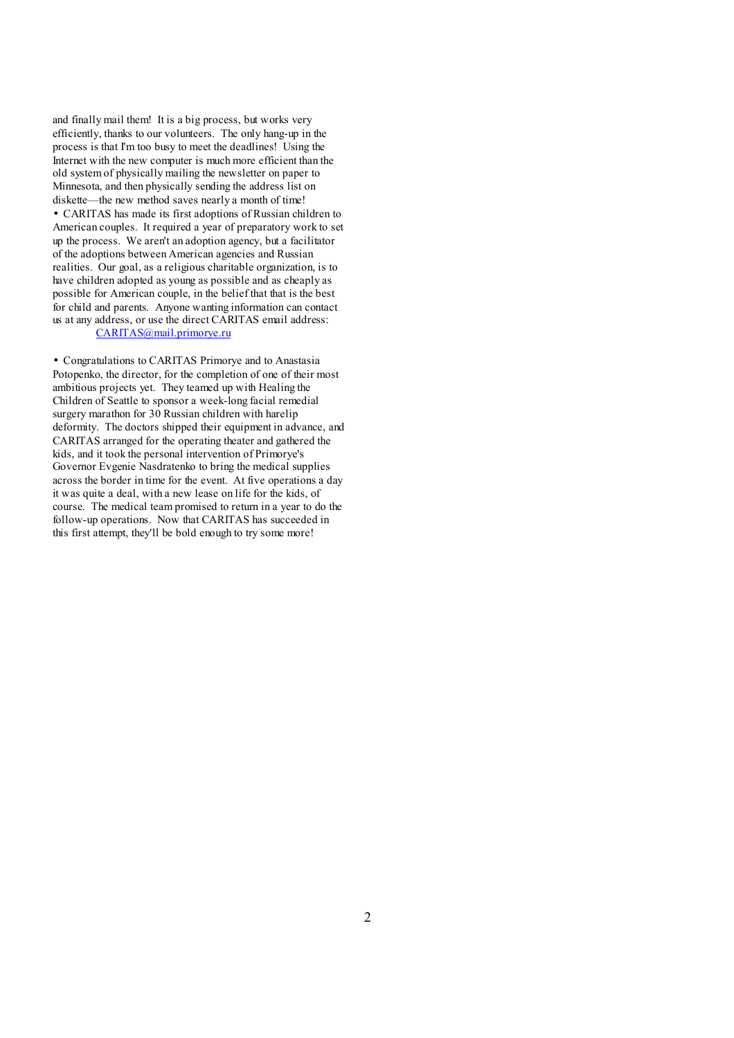and finally mail them! It is a big process, but works very efficiently, thanks to our volunteers. The only hang-up in the process is that I'm too busy to meet the deadlines! Using the Internet with the new computer is much more efficient than the old system of physically mailing the newsletter on paper to Minnesota, and then physically sending the address list on diskette—the new method saves nearly a month of time! • CARITAS has made its first adoptions of Russian children to American couples. It required a year of preparatory work to set up the process. We aren't an adoption agency, but a facilitator of the adoptions between American agencies and Russian realities. Our goal, as a religious charitable organization, is to have children adopted as young as possible and as cheaply as possible for American couple, in the belief that that is the best for child and parents. Anyone wanting information can contact us at any address, or use the direct CARITAS email address:

### [CARITAS@mail.primorye.ru](mailto:CARITAS@mail.primorye.ru)

• Congratulations to CARITAS Primorye and to Anastasia Potopenko, the director, for the completion of one of their most ambitious projects yet. They teamed up with Healing the Children of Seattle to sponsor a week-long facial remedial surgery marathon for 30 Russian children with harelip deformity. The doctors shipped their equipment in advance, and CARITAS arranged for the operating theater and gathered the kids, and it took the personal intervention of Primorye's Governor Evgenie Nasdratenko to bring the medical supplies across the border in time for the event. At five operations a day it was quite a deal, with a new lease on life for the kids, of course. The medical team promised to return in a year to do the follow-up operations. Now that CARITAS has succeeded in this first attempt, they'll be bold enough to try some more!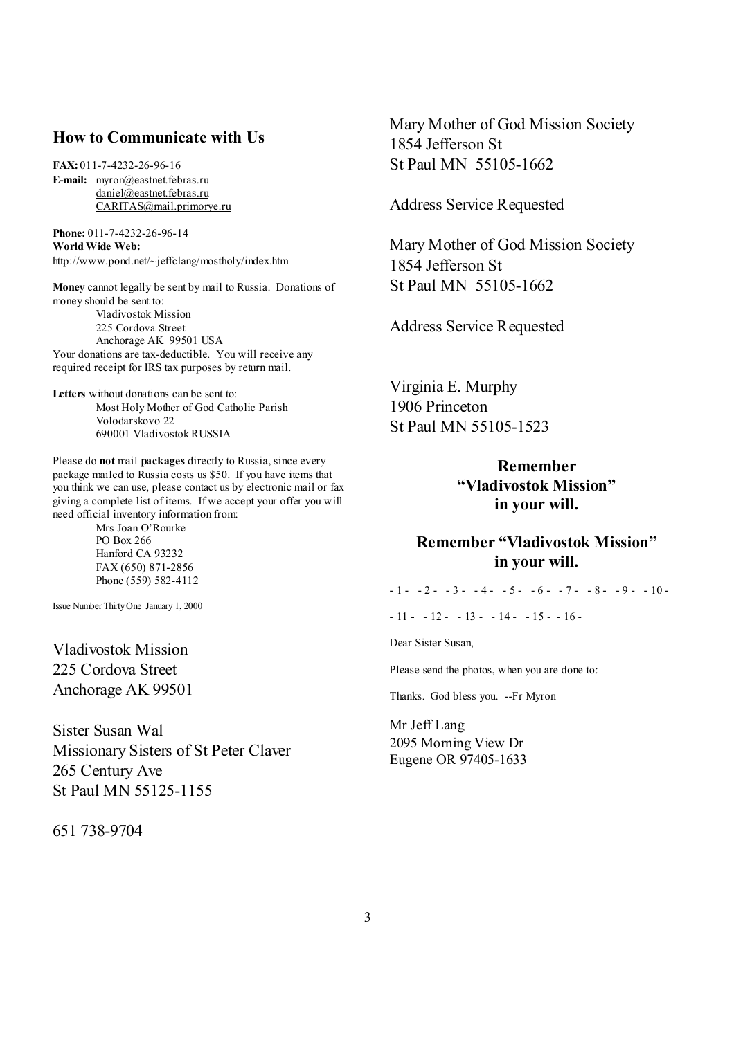### **How to Communicate with Us**

**FAX:** 011-7-4232-26-96-16

**E-mail:** [myron@eastnet.febras.ru](mailto:myron@eastnet.febras.ru) [daniel@eastnet.febras.ru](mailto:daniel@eastnet.febras.ru) [CARITAS@mail.primorye.ru](mailto:CARITAS@mail.primorye.ru)

**Phone:** 011-7-4232-26-96-14 **World Wide Web:**  <http://www.pond.net/~jeffclang/mostholy/index.htm>

**Money** cannot legally be sent by mail to Russia. Donations of money should be sent to: Vladivostok Mission 225 Cordova Street Anchorage AK 99501 USA Your donations are tax-deductible. You will receive any required receipt for IRS tax purposes by return mail.

**Letters** without donations can be sent to: Most Holy Mother of God Catholic Parish Volodarskovo 22 690001 Vladivostok RUSSIA

Please do **not** mail **packages** directly to Russia, since every package mailed to Russia costs us \$50. If you have items that you think we can use, please contact us by electronic mail or fax giving a complete list of items. If we accept your offer you will need official inventory information from:

> Mrs Joan O'Rourke PO Box 266 Hanford CA 93232 FAX (650) 871-2856 Phone (559) 582-4112

Issue Number ThirtyOne January 1, 2000

Vladivostok Mission 225 Cordova Street Anchorage AK 99501

Sister Susan Wal Missionary Sisters of St Peter Claver 265 Century Ave St Paul MN 55125-1155

651 738-9704

Mary Mother of God Mission Society 1854 Jefferson St St Paul MN 55105-1662

Address Service Requested

Mary Mother of God Mission Society 1854 Jefferson St St Paul MN 55105-1662

Address Service Requested

Virginia E. Murphy 1906 Princeton St Paul MN 55105-1523

# **Remember "Vladivostok Mission" in your will.**

## **Remember "Vladivostok Mission" in your will.**

 $-1$  -  $-2$  -  $-3$  -  $-4$  -  $-5$  -  $-6$  -  $-7$  -  $-8$  -  $-9$  -  $-10$  -

 $-11 - 12 - 13 - 14 - 15 - 16$ 

Dear Sister Susan,

Please send the photos, when you are done to:

Thanks. God bless you. --Fr Myron

Mr Jeff Lang 2095 Morning View Dr Eugene OR 97405-1633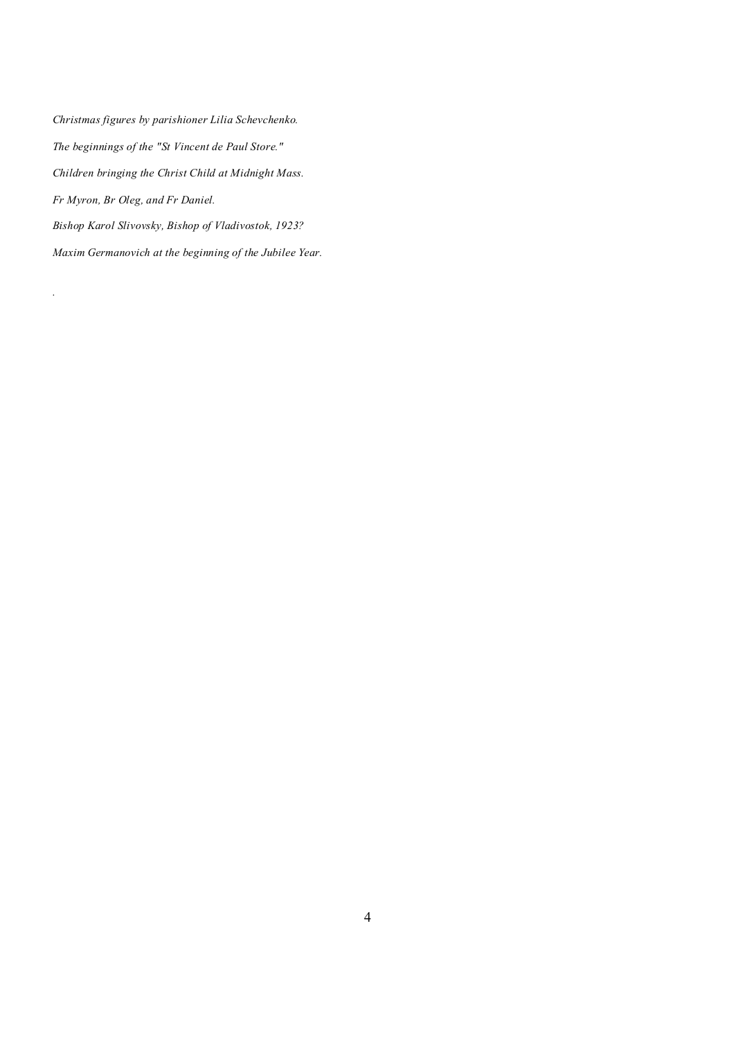*Christmas figures by parishioner Lilia Schevchenko. The beginnings of the "St Vincent de Paul Store." Children bringing the Christ Child at Midnight Mass. Fr Myron, Br Oleg, and Fr Daniel. Bishop Karol Slivovsky, Bishop of Vladivostok, 1923? Maxim Germanovich at the beginning of the Jubilee Year.* 

*.*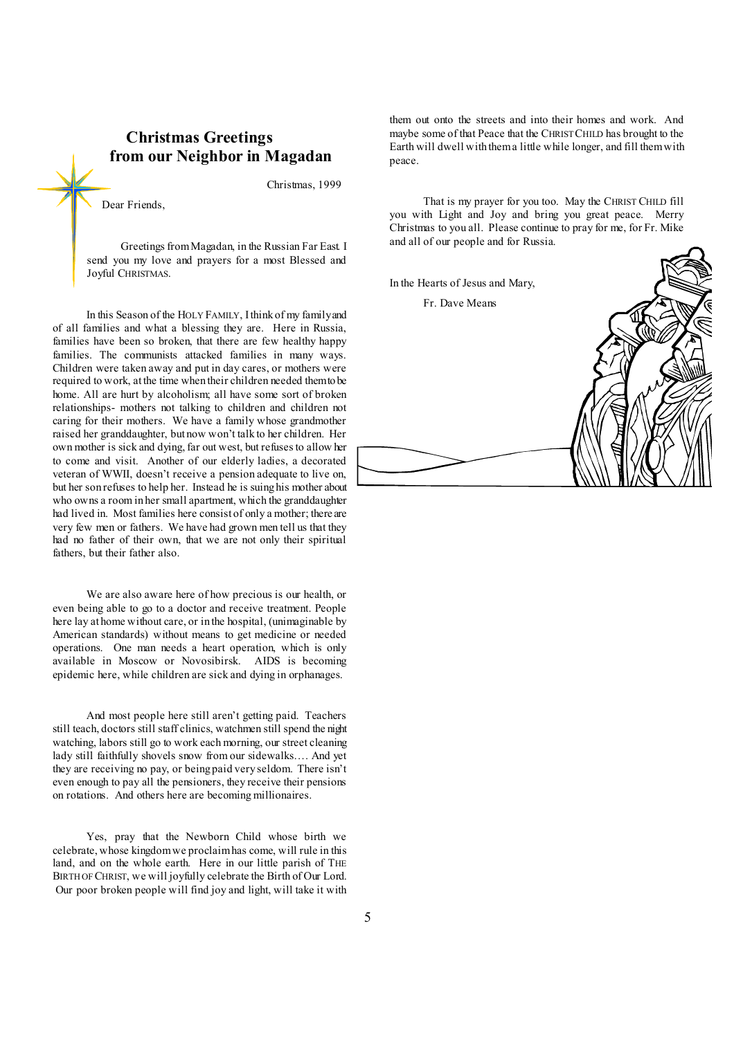## **Christmas Greetings from our Neighbor in Magadan**

Christmas, 1999

Dear Friends,

Greetings from Magadan, in the Russian Far East. I send you my love and prayers for a most Blessed and Joyful CHRISTMAS.

In this Season of the HOLY FAMILY, Ithink of my familyand of all families and what a blessing they are. Here in Russia, families have been so broken, that there are few healthy happy families. The communists attacked families in many ways. Children were taken away and put in day cares, or mothers were required to work, at the time when their children needed them to be home. All are hurt by alcoholism; all have some sort of broken relationships- mothers not talking to children and children not caring for their mothers. We have a family whose grandmother raised her granddaughter, but now won't talk to her children. Her own mother is sick and dying, far out west, but refusesto allow her to come and visit. Another of our elderly ladies, a decorated veteran of WWII, doesn't receive a pension adequate to live on, but her son refuses to help her. Instead he is suing his mother about who owns a room in her small apartment, which the granddaughter had lived in. Most families here consist of only a mother; there are very few men or fathers. We have had grown men tell us that they had no father of their own, that we are not only their spiritual fathers, but their father also.

We are also aware here of how precious is our health, or even being able to go to a doctor and receive treatment. People here lay at home without care, or in the hospital, (unimaginable by American standards) without means to get medicine or needed operations. One man needs a heart operation, which is only available in Moscow or Novosibirsk. AIDS is becoming epidemic here, while children are sick and dying in orphanages.

And most people here still aren't getting paid. Teachers still teach, doctors still staff clinics, watchmen still spend the night watching, labors still go to work each morning, our street cleaning lady still faithfully shovels snow from our sidewalks…. And yet they are receiving no pay, or being paid very seldom. There isn't even enough to pay all the pensioners, they receive their pensions on rotations. And others here are becoming millionaires.

Yes, pray that the Newborn Child whose birth we celebrate, whose kingdomwe proclaimhas come, will rule in this land, and on the whole earth. Here in our little parish of THE BIRTH OF CHRIST, we will joyfully celebrate the Birth of Our Lord. Our poor broken people will find joy and light, will take it with them out onto the streets and into their homes and work. And maybe some of that Peace that the CHRIST CHILD has brought to the Earth will dwell with thema little while longer, and fill themwith peace.

That is my prayer for you too. May the CHRIST CHILD fill you with Light and Joy and bring you great peace. Merry Christmas to you all. Please continue to pray for me, for Fr. Mike and all of our people and for Russia.

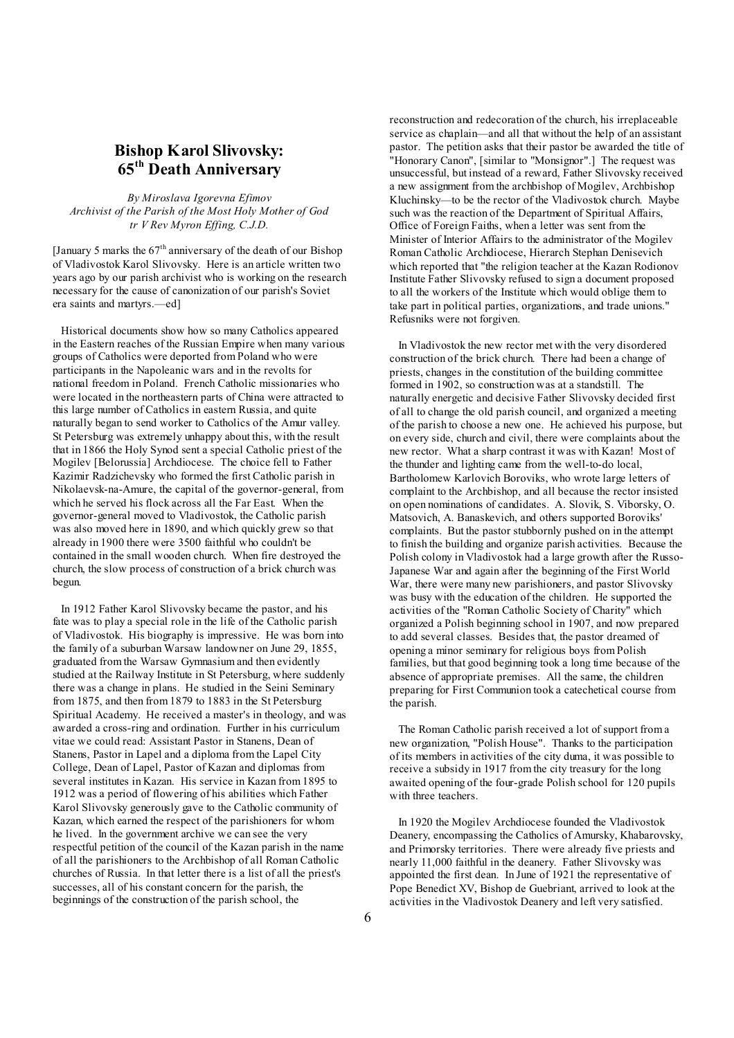## **Bishop Karol Slivovsky: 65th Death Anniversary**

*By Miroslava Igorevna Efimov Archivist of the Parish of the Most Holy Mother of God tr V Rev Myron Effing, C.J.D.* 

[January 5 marks the  $67<sup>th</sup>$  anniversary of the death of our Bishop of Vladivostok Karol Slivovsky. Here is an article written two years ago by our parish archivist who is working on the research necessary for the cause of canonization of our parish's Soviet era saints and martyrs.—ed]

 Historical documents show how so many Catholics appeared in the Eastern reaches of the Russian Empire when many various groups of Catholics were deported from Poland who were participants in the Napoleanic wars and in the revolts for national freedom in Poland. French Catholic missionaries who were located in the northeastern parts of China were attracted to this large number of Catholics in eastern Russia, and quite naturally began to send worker to Catholics of the Amur valley. St Petersburg was extremely unhappy about this, with the result that in 1866 the Holy Synod sent a special Catholic priest of the Mogilev [Belorussia] Archdiocese. The choice fell to Father Kazimir Radzichevsky who formed the first Catholic parish in Nikolaevsk-na-Amure, the capital of the governor-general, from which he served his flock across all the Far East. When the governor-general moved to Vladivostok, the Catholic parish was also moved here in 1890, and which quickly grew so that already in 1900 there were 3500 faithful who couldn't be contained in the small wooden church. When fire destroyed the church, the slow process of construction of a brick church was begun.

In 1912 Father Karol Slivovsky became the pastor, and his fate was to play a special role in the life of the Catholic parish of Vladivostok. His biography is impressive. He was born into the family of a suburban Warsaw landowner on June 29, 1855, graduated from the Warsaw Gymnasium and then evidently studied at the Railway Institute in St Petersburg, where suddenly there was a change in plans. He studied in the Seini Seminary from 1875, and then from 1879 to 1883 in the St Petersburg Spiritual Academy. He received a master's in theology, and was awarded a cross-ring and ordination. Further in his curriculum vitae we could read: Assistant Pastor in Stanens, Dean of Stanens, Pastor in Lapel and a diploma from the Lapel City College, Dean of Lapel, Pastor of Kazan and diplomas from several institutes in Kazan. His service in Kazan from 1895 to 1912 was a period of flowering of his abilities which Father Karol Slivovsky generously gave to the Catholic community of Kazan, which earned the respect of the parishioners for whom he lived. In the government archive we can see the very respectful petition of the council of the Kazan parish in the name of all the parishioners to the Archbishop of all Roman Catholic churches of Russia. In that letter there is a list of all the priest's successes, all of his constant concern for the parish, the beginnings of the construction of the parish school, the

reconstruction and redecoration of the church, his irreplaceable service as chaplain—and all that without the help of an assistant pastor. The petition asks that their pastor be awarded the title of "Honorary Canon", [similar to "Monsignor".] The request was unsuccessful, but instead of a reward, Father Slivovsky received a new assignment from the archbishop of Mogilev, Archbishop Kluchinsky—to be the rector of the Vladivostok church. Maybe such was the reaction of the Department of Spiritual Affairs, Office of Foreign Faiths, when a letter was sent from the Minister of Interior Affairs to the administrator of the Mogilev Roman Catholic Archdiocese, Hierarch Stephan Denisevich which reported that "the religion teacher at the Kazan Rodionov Institute Father Slivovsky refused to sign a document proposed to all the workers of the Institute which would oblige them to take part in political parties, organizations, and trade unions." Refusniks were not forgiven.

 In Vladivostok the new rector met with the very disordered construction of the brick church. There had been a change of priests, changes in the constitution of the building committee formed in 1902, so construction was at a standstill. The naturally energetic and decisive Father Slivovsky decided first of all to change the old parish council, and organized a meeting of the parish to choose a new one. He achieved his purpose, but on every side, church and civil, there were complaints about the new rector. What a sharp contrast it was with Kazan! Most of the thunder and lighting came from the well-to-do local, Bartholomew Karlovich Boroviks, who wrote large letters of complaint to the Archbishop, and all because the rector insisted on open nominations of candidates. A. Slovik, S. Viborsky, O. Matsovich, A. Banaskevich, and others supported Boroviks' complaints. But the pastor stubbornly pushed on in the attempt to finish the building and organize parish activities. Because the Polish colony in Vladivostok had a large growth after the Russo-Japanese War and again after the beginning of the First World War, there were many new parishioners, and pastor Slivovsky was busy with the education of the children. He supported the activities of the "Roman Catholic Society of Charity" which organized a Polish beginning school in 1907, and now prepared to add several classes. Besides that, the pastor dreamed of opening a minor seminary for religious boys from Polish families, but that good beginning took a long time because of the absence of appropriate premises. All the same, the children preparing for First Communion took a catechetical course from the parish.

 The Roman Catholic parish received a lot of support from a new organization, "Polish House". Thanks to the participation of its members in activities of the city duma, it was possible to receive a subsidy in 1917 from the city treasury for the long awaited opening of the four-grade Polish school for 120 pupils with three teachers.

 In 1920 the Mogilev Archdiocese founded the Vladivostok Deanery, encompassing the Catholics of Amursky, Khabarovsky, and Primorsky territories. There were already five priests and nearly 11,000 faithful in the deanery. Father Slivovsky was appointed the first dean. In June of 1921 the representative of Pope Benedict XV, Bishop de Guebriant, arrived to look at the activities in the Vladivostok Deanery and left very satisfied.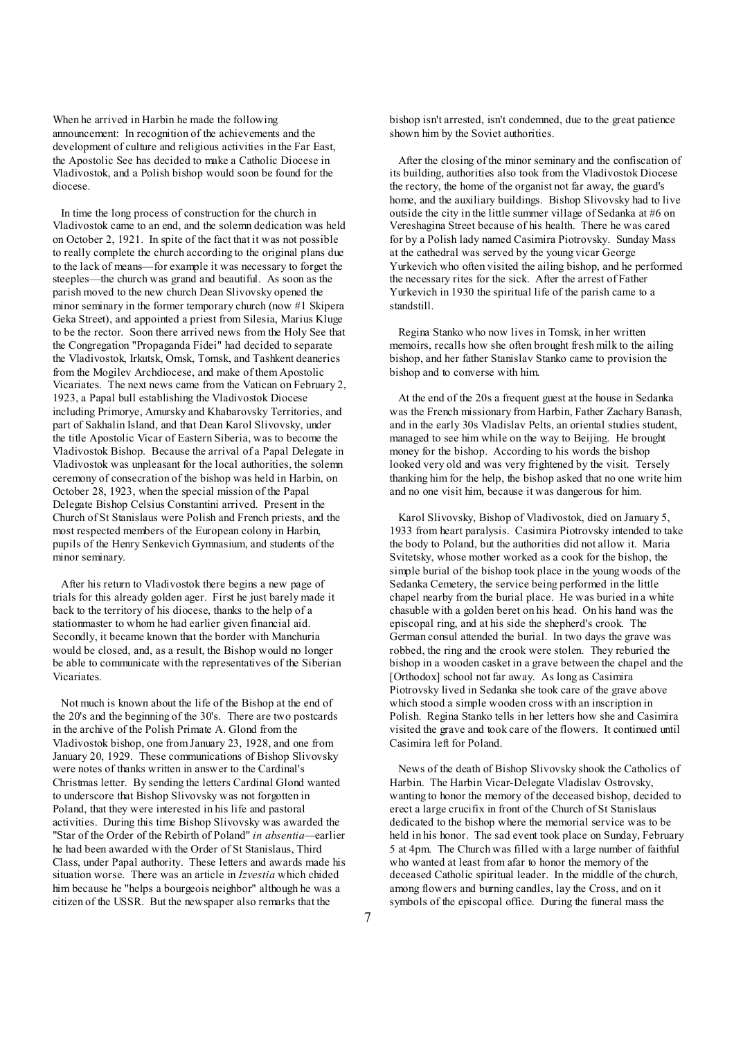When he arrived in Harbin he made the following announcement: In recognition of the achievements and the development of culture and religious activities in the Far East, the Apostolic See has decided to make a Catholic Diocese in Vladivostok, and a Polish bishop would soon be found for the diocese.

In time the long process of construction for the church in Vladivostok came to an end, and the solemn dedication was held on October 2, 1921. In spite of the fact that it was not possible to really complete the church according to the original plans due to the lack of means—for example it was necessary to forget the steeples—the church was grand and beautiful. As soon as the parish moved to the new church Dean Slivovsky opened the minor seminary in the former temporary church (now #1 Skipera Geka Street), and appointed a priest from Silesia, Marius Kluge to be the rector. Soon there arrived news from the Holy See that the Congregation "Propaganda Fidei" had decided to separate the Vladivostok, Irkutsk, Omsk, Tomsk, and Tashkent deaneries from the Mogilev Archdiocese, and make of them Apostolic Vicariates. The next news came from the Vatican on February 2, 1923, a Papal bull establishing the Vladivostok Diocese including Primorye, Amursky and Khabarovsky Territories, and part of Sakhalin Island, and that Dean Karol Slivovsky, under the title Apostolic Vicar of Eastern Siberia, was to become the Vladivostok Bishop. Because the arrival of a Papal Delegate in Vladivostok was unpleasant for the local authorities, the solemn ceremony of consecration of the bishop was held in Harbin, on October 28, 1923, when the special mission of the Papal Delegate Bishop Celsius Constantini arrived. Present in the Church of St Stanislaus were Polish and French priests, and the most respected members of the European colony in Harbin, pupils of the Henry Senkevich Gymnasium, and students of the minor seminary.

 After his return to Vladivostok there begins a new page of trials for this already golden ager. First he just barely made it back to the territory of his diocese, thanks to the help of a stationmaster to whom he had earlier given financial aid. Secondly, it became known that the border with Manchuria would be closed, and, as a result, the Bishop would no longer be able to communicate with the representatives of the Siberian Vicariates.

 Not much is known about the life of the Bishop at the end of the 20's and the beginning of the 30's. There are two postcards in the archive of the Polish Primate A. Glond from the Vladivostok bishop, one from January 23, 1928, and one from January 20, 1929. These communications of Bishop Slivovsky were notes of thanks written in answer to the Cardinal's Christmas letter. By sending the letters Cardinal Glond wanted to underscore that Bishop Slivovsky was not forgotten in Poland, that they were interested in his life and pastoral activities. During this time Bishop Slivovsky was awarded the "Star of the Order of the Rebirth of Poland" *in absentia—*earlier he had been awarded with the Order of St Stanislaus, Third Class, under Papal authority. These letters and awards made his situation worse. There was an article in *Izvestia* which chided him because he "helps a bourgeois neighbor" although he was a citizen of the USSR. But the newspaper also remarks that the

bishop isn't arrested, isn't condemned, due to the great patience shown him by the Soviet authorities.

 After the closing of the minor seminary and the confiscation of its building, authorities also took from the Vladivostok Diocese the rectory, the home of the organist not far away, the guard's home, and the auxiliary buildings. Bishop Slivovsky had to live outside the city in the little summer village of Sedanka at #6 on Vereshagina Street because of his health. There he was cared for by a Polish lady named Casimira Piotrovsky. Sunday Mass at the cathedral was served by the young vicar George Yurkevich who often visited the ailing bishop, and he performed the necessary rites for the sick. After the arrest of Father Yurkevich in 1930 the spiritual life of the parish came to a standstill.

 Regina Stanko who now lives in Tomsk, in her written memoirs, recalls how she often brought fresh milk to the ailing bishop, and her father Stanislav Stanko came to provision the bishop and to converse with him.

 At the end of the 20s a frequent guest at the house in Sedanka was the French missionary from Harbin, Father Zachary Banash, and in the early 30s Vladislav Pelts, an oriental studies student, managed to see him while on the way to Beijing. He brought money for the bishop. According to his words the bishop looked very old and was very frightened by the visit. Tersely thanking him for the help, the bishop asked that no one write him and no one visit him, because it was dangerous for him.

 Karol Slivovsky, Bishop of Vladivostok, died on January 5, 1933 from heart paralysis. Casimira Piotrovsky intended to take the body to Poland, but the authorities did not allow it. Maria Svitetsky, whose mother worked as a cook for the bishop, the simple burial of the bishop took place in the young woods of the Sedanka Cemetery, the service being performed in the little chapel nearby from the burial place. He was buried in a white chasuble with a golden beret on his head. On his hand was the episcopal ring, and at his side the shepherd's crook. The German consul attended the burial. In two days the grave was robbed, the ring and the crook were stolen. They reburied the bishop in a wooden casket in a grave between the chapel and the [Orthodox] school not far away. As long as Casimira Piotrovsky lived in Sedanka she took care of the grave above which stood a simple wooden cross with an inscription in Polish. Regina Stanko tells in her letters how she and Casimira visited the grave and took care of the flowers. It continued until Casimira left for Poland.

 News of the death of Bishop Slivovsky shook the Catholics of Harbin. The Harbin Vicar-Delegate Vladislav Ostrovsky, wanting to honor the memory of the deceased bishop, decided to erect a large crucifix in front of the Church of St Stanislaus dedicated to the bishop where the memorial service was to be held in his honor. The sad event took place on Sunday, February 5 at 4pm. The Church was filled with a large number of faithful who wanted at least from afar to honor the memory of the deceased Catholic spiritual leader. In the middle of the church, among flowers and burning candles, lay the Cross, and on it symbols of the episcopal office. During the funeral mass the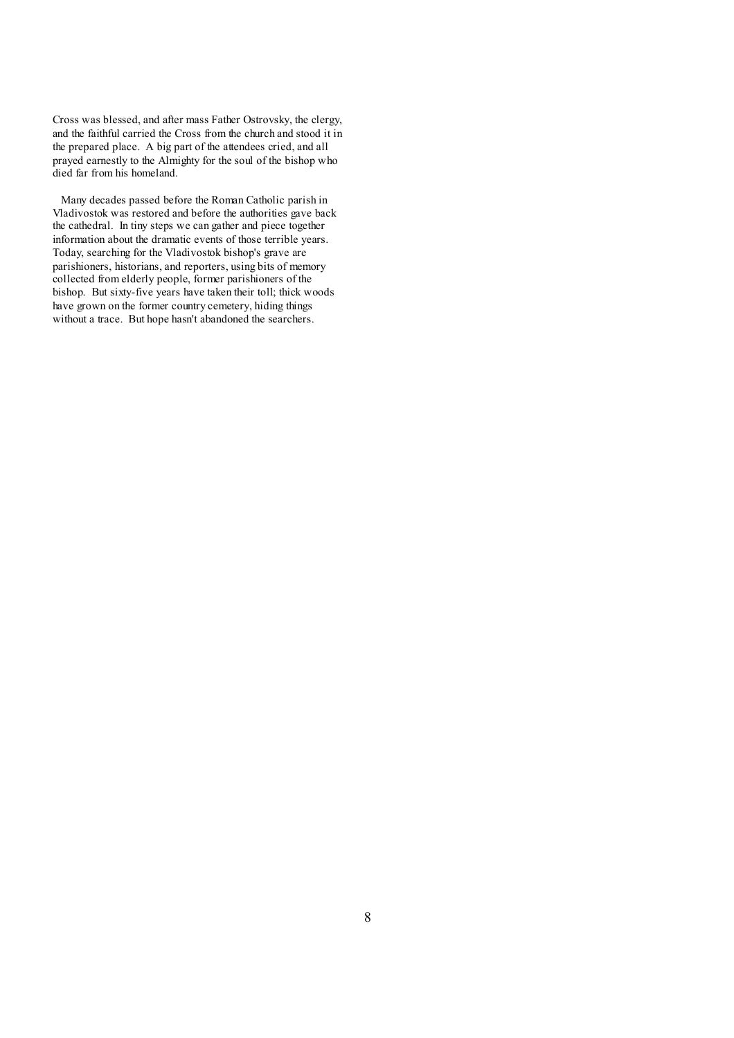Cross was blessed, and after mass Father Ostrovsky, the clergy, and the faithful carried the Cross from the church and stood it in the prepared place. A big part of the attendees cried, and all prayed earnestly to the Almighty for the soul of the bishop who died far from his homeland.

Many decades passed before the Roman Catholic parish in Vladivostok was restored and before the authorities gave back the cathedral. In tiny steps we can gather and piece together information about the dramatic events of those terrible years. Today, searching for the Vladivostok bishop's grave are parishioners, historians, and reporters, using bits of memory collected from elderly people, former parishioners of the bishop. But sixty-five years have taken their toll; thick woods have grown on the former country cemetery, hiding things without a trace. But hope hasn't abandoned the searchers.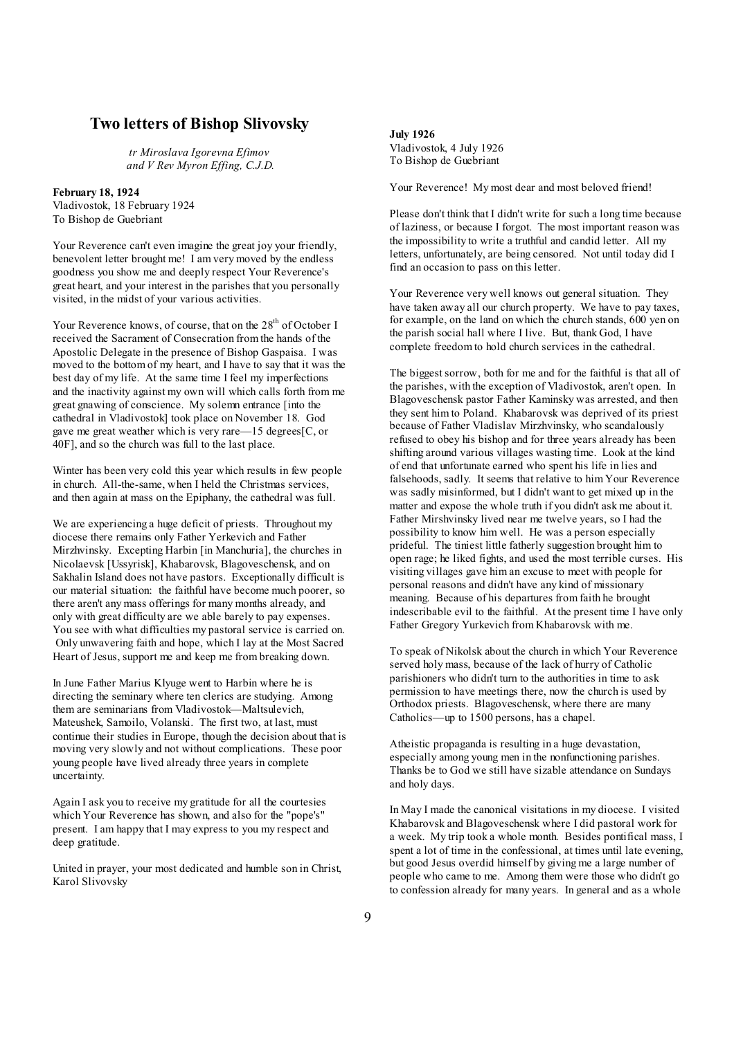## **Two letters of Bishop Slivovsky**

*tr Miroslava Igorevna Efimov and V Rev Myron Effing, C.J.D.* 

**February 18, 1924**  Vladivostok, 18 February 1924 To Bishop de Guebriant

Your Reverence can't even imagine the great joy your friendly, benevolent letter brought me! I am very moved by the endless goodness you show me and deeply respect Your Reverence's great heart, and your interest in the parishes that you personally visited, in the midst of your various activities.

Your Reverence knows, of course, that on the 28<sup>th</sup> of October I received the Sacrament of Consecration from the hands of the Apostolic Delegate in the presence of Bishop Gaspaisa. I was moved to the bottom of my heart, and I have to say that it was the best day of my life. At the same time I feel my imperfections and the inactivity against my own will which calls forth from me great gnawing of conscience. My solemn entrance [into the cathedral in Vladivostok] took place on November 18. God gave me great weather which is very rare—15 degrees[C, or 40F], and so the church was full to the last place.

Winter has been very cold this year which results in few people in church. All-the-same, when I held the Christmas services, and then again at mass on the Epiphany, the cathedral was full.

We are experiencing a huge deficit of priests. Throughout my diocese there remains only Father Yerkevich and Father Mirzhvinsky. Excepting Harbin [in Manchuria], the churches in Nicolaevsk [Ussyrisk], Khabarovsk, Blagoveschensk, and on Sakhalin Island does not have pastors. Exceptionally difficult is our material situation: the faithful have become much poorer, so there aren't any mass offerings for many months already, and only with great difficulty are we able barely to pay expenses. You see with what difficulties my pastoral service is carried on. Only unwavering faith and hope, which I lay at the Most Sacred Heart of Jesus, support me and keep me from breaking down.

In June Father Marius Klyuge went to Harbin where he is directing the seminary where ten clerics are studying. Among them are seminarians from Vladivostok—Maltsulevich, Mateushek, Samoilo, Volanski. The first two, at last, must continue their studies in Europe, though the decision about that is moving very slowly and not without complications. These poor young people have lived already three years in complete uncertainty.

Again I ask you to receive my gratitude for all the courtesies which Your Reverence has shown, and also for the "pope's" present. I am happy that I may express to you my respect and deep gratitude.

United in prayer, your most dedicated and humble son in Christ, Karol Slivovsky

#### **July 1926**

Vladivostok, 4 July 1926 To Bishop de Guebriant

Your Reverence! My most dear and most beloved friend!

Please don't think that I didn't write for such a long time because of laziness, or because I forgot. The most important reason was the impossibility to write a truthful and candid letter. All my letters, unfortunately, are being censored. Not until today did I find an occasion to pass on this letter.

Your Reverence very well knows out general situation. They have taken away all our church property. We have to pay taxes, for example, on the land on which the church stands, 600 yen on the parish social hall where I live. But, thank God, I have complete freedom to hold church services in the cathedral.

The biggest sorrow, both for me and for the faithful is that all of the parishes, with the exception of Vladivostok, aren't open. In Blagoveschensk pastor Father Kaminsky was arrested, and then they sent him to Poland. Khabarovsk was deprived of its priest because of Father Vladislav Mirzhvinsky, who scandalously refused to obey his bishop and for three years already has been shifting around various villages wasting time. Look at the kind of end that unfortunate earned who spent his life in lies and falsehoods, sadly. It seems that relative to him Your Reverence was sadly misinformed, but I didn't want to get mixed up in the matter and expose the whole truth if you didn't ask me about it. Father Mirshvinsky lived near me twelve years, so I had the possibility to know him well. He was a person especially prideful. The tiniest little fatherly suggestion brought him to open rage; he liked fights, and used the most terrible curses. His visiting villages gave him an excuse to meet with people for personal reasons and didn't have any kind of missionary meaning. Because of his departures from faith he brought indescribable evil to the faithful. At the present time I have only Father Gregory Yurkevich from Khabarovsk with me.

To speak of Nikolsk about the church in which Your Reverence served holy mass, because of the lack of hurry of Catholic parishioners who didn't turn to the authorities in time to ask permission to have meetings there, now the church is used by Orthodox priests. Blagoveschensk, where there are many Catholics—up to 1500 persons, has a chapel.

Atheistic propaganda is resulting in a huge devastation, especially among young men in the nonfunctioning parishes. Thanks be to God we still have sizable attendance on Sundays and holy days.

In May I made the canonical visitations in my diocese. I visited Khabarovsk and Blagoveschensk where I did pastoral work for a week. My trip took a whole month. Besides pontifical mass, I spent a lot of time in the confessional, at times until late evening, but good Jesus overdid himself by giving me a large number of people who came to me. Among them were those who didn't go to confession already for many years. In general and as a whole